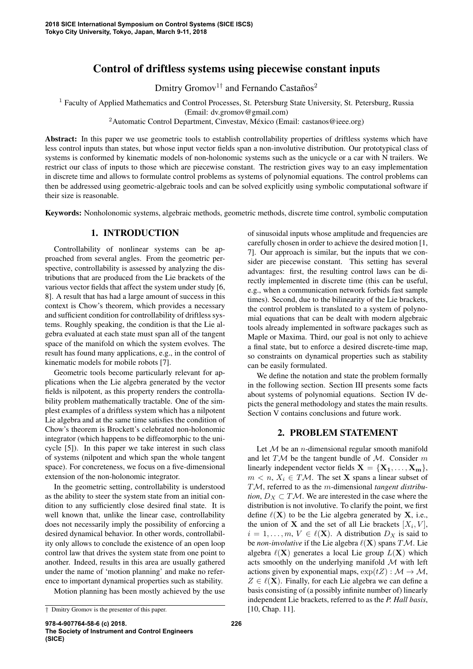# Control of driftless systems using piecewise constant inputs

Dmitry Gromov<sup>1†</sup> and Fernando Castaños<sup>2</sup>

<sup>1</sup> Faculty of Applied Mathematics and Control Processes, St. Petersburg State University, St. Petersburg, Russia

(Email: dv.gromov@gmail.com)

<sup>2</sup>Automatic Control Department, Cinvestav, México (Email: castanos@ieee.org)

Abstract: In this paper we use geometric tools to establish controllability properties of driftless systems which have less control inputs than states, but whose input vector fields span a non-involutive distribution. Our prototypical class of systems is conformed by kinematic models of non-holonomic systems such as the unicycle or a car with N trailers. We restrict our class of inputs to those which are piecewise constant. The restriction gives way to an easy implementation in discrete time and allows to formulate control problems as systems of polynomial equations. The control problems can then be addressed using geometric-algebraic tools and can be solved explicitly using symbolic computational software if their size is reasonable.

Keywords: Nonholonomic systems, algebraic methods, geometric methods, discrete time control, symbolic computation

## 1. INTRODUCTION

Controllability of nonlinear systems can be approached from several angles. From the geometric perspective, controllability is assessed by analyzing the distributions that are produced from the Lie brackets of the various vector fields that affect the system under study [6, 8]. A result that has had a large amount of success in this context is Chow's theorem, which provides a necessary and sufficient condition for controllability of driftless systems. Roughly speaking, the condition is that the Lie algebra evaluated at each state must span all of the tangent space of the manifold on which the system evolves. The result has found many applications, e.g., in the control of kinematic models for mobile robots [7].

Geometric tools become particularly relevant for applications when the Lie algebra generated by the vector fields is nilpotent, as this property renders the controllability problem mathematically tractable. One of the simplest examples of a driftless system which has a nilpotent Lie algebra and at the same time satisfies the condition of Chow's theorem is Brockett's celebrated non-holonomic integrator (which happens to be diffeomorphic to the unicycle [5]). In this paper we take interest in such class of systems (nilpotent and which span the whole tangent space). For concreteness, we focus on a five-dimensional extension of the non-holonomic integrator.

In the geometric setting, controllability is understood as the ability to steer the system state from an initial condition to any sufficiently close desired final state. It is well known that, unlike the linear case, controllability does not necessarily imply the possibility of enforcing a desired dynamical behavior. In other words, controllability only allows to conclude the existence of an open loop control law that drives the system state from one point to another. Indeed, results in this area are usually gathered under the name of 'motion planning' and make no reference to important dynamical properties such as stability. Motion planning has been mostly achieved by the use

of sinusoidal inputs whose amplitude and frequencies are carefully chosen in order to achieve the desired motion [1, 7]. Our approach is similar, but the inputs that we consider are piecewise constant. This setting has several advantages: first, the resulting control laws can be directly implemented in discrete time (this can be useful, e.g., when a communication network forbids fast sample times). Second, due to the bilinearity of the Lie brackets, the control problem is translated to a system of polynomial equations that can be dealt with modern algebraic tools already implemented in software packages such as Maple or Maxima. Third, our goal is not only to achieve a final state, but to enforce a desired discrete-time map, so constraints on dynamical properties such as stability can be easily formulated.

We define the notation and state the problem formally in the following section. Section III presents some facts about systems of polynomial equations. Section IV depicts the general methodology and states the main results. Section V contains conclusions and future work.

### 2. PROBLEM STATEMENT

Let  $M$  be an *n*-dimensional regular smooth manifold and let  $T\mathcal{M}$  be the tangent bundle of  $\mathcal{M}$ . Consider m linearly independent vector fields  $X = \{X_1, \ldots, X_m\}$ ,  $m < n$ ,  $X_i \in T\mathcal{M}$ . The set **X** spans a linear subset of TM, referred to as the m-dimensional *tangent distribution*,  $D_X \subset T\mathcal{M}$ . We are interested in the case where the distribution is not involutive. To clarify the point, we first define  $\ell(X)$  to be the Lie algebra generated by X, i.e., the union of **X** and the set of all Lie brackets  $[X_i, V]$ ,  $i = 1, \ldots, m, V \in \ell(X)$ . A distribution  $D_X$  is said to be *non-involutive* if the Lie algebra  $\ell(X)$  spans  $T\mathcal{M}$ . Lie algebra  $\ell(X)$  generates a local Lie group  $L(X)$  which acts smoothly on the underlying manifold M with left actions given by exponential maps,  $\exp(tZ) : \mathcal{M} \to \mathcal{M}$ ,  $Z \in \ell(X)$ . Finally, for each Lie algebra we can define a basis consisting of (a possibly infinite number of) linearly independent Lie brackets, referred to as the *P. Hall basis*, [10, Chap. 11].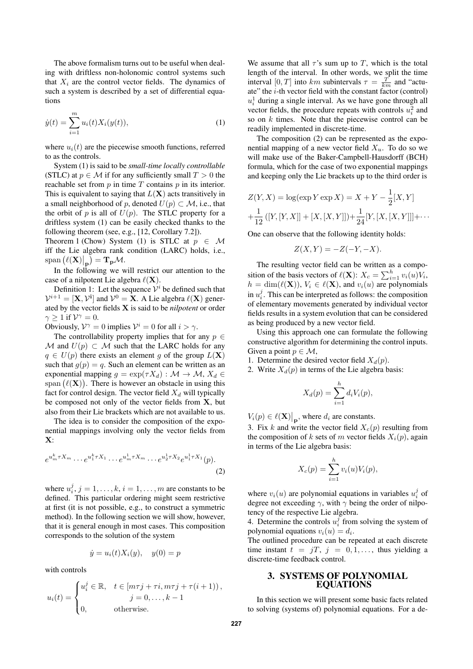The above formalism turns out to be useful when dealing with driftless non-holonomic control systems such that  $X_i$  are the control vector fields. The dynamics of such a system is described by a set of differential equations

$$
\dot{y}(t) = \sum_{i=1}^{m} u_i(t) X_i(y(t)),
$$
\n(1)

where  $u_i(t)$  are the piecewise smooth functions, referred to as the controls.

System (1) is said to be *small-time locally controllable* (STLC) at  $p \in \mathcal{M}$  if for any sufficiently small  $T > 0$  the reachable set from  $p$  in time  $T$  contains  $p$  in its interior. This is equivalent to saying that  $L(X)$  acts transitively in a small neighborhood of p, denoted  $U(p) \subset \mathcal{M}$ , i.e., that the orbit of p is all of  $U(p)$ . The STLC property for a driftless system (1) can be easily checked thanks to the following theorem (see, e.g., [12, Corollary 7.2]).

Theorem 1 (Chow) System (1) is STLC at  $p \in M$ iff the Lie algebra rank condition (LARC) holds, i.e.,  $\text{span}\left(\ell(\mathbf{X})\big|_{\mathbf{p}}\right) = \mathbf{T}_{\mathbf{p}}\mathcal{M}.$ 

In the following we will restrict our attention to the case of a nilpotent Lie algebra  $\ell(\mathbf{X})$ .

Definition 1: Let the sequence  $\mathcal{V}^i$  be defined such that  $\mathcal{V}^{i+1} = [\mathbf{X}, \mathcal{V}^i]$  and  $\mathcal{V}^0 = \mathbf{X}$ . A Lie algebra  $\ell(\mathbf{X})$  generated by the vector fields **X** is said to be *nilpotent* or order  $\gamma > 1$  if  $\mathcal{V}^{\gamma} = 0$ .

Obviously,  $V^{\gamma} = 0$  implies  $V^i = 0$  for all  $i > \gamma$ .

The controllability property implies that for any  $p \in$ M and  $U(p) \subset M$  such that the LARC holds for any  $q \in U(p)$  there exists an element g of the group  $L(\mathbf{X})$ such that  $g(p) = q$ . Such an element can be written as an exponential mapping  $g = \exp(\tau X_d) : \mathcal{M} \to \mathcal{M}, X_d \in$ span  $(\ell(\mathbf{X}))$ . There is however an obstacle in using this fact for control design. The vector field  $X_d$  will typically be composed not only of the vector fields from **X**, but also from their Lie brackets which are not available to us.

The idea is to consider the composition of the exponential mappings involving only the vector fields from **X**:

$$
e^{u_m^k \tau X_m} \cdots e^{u_1^k \tau X_1} \cdots e^{u_m^1 \tau X_m} \cdots e^{u_2^1 \tau X_2} e^{u_1^1 \tau X_1} (p).
$$
\n(2)

where  $u_i^j$ ,  $j = 1, \ldots, k$ ,  $i = 1, \ldots, m$  are constants to be defined. This particular ordering might seem restrictive at first (it is not possible, e.g., to construct a symmetric method). In the following section we will show, however, that it is general enough in most cases. This composition corresponds to the solution of the system

$$
\dot{y} = u_i(t)X_i(y), \quad y(0) = p
$$

with controls

uj

$$
u_i(t) = \begin{cases} u_i^j \in \mathbb{R}, & t \in [m\tau j + \tau i, m\tau j + \tau (i+1)), \\ & j = 0, \dots, k-1 \\ 0, & \text{otherwise.} \end{cases}
$$

We assume that all  $\tau$ 's sum up to T, which is the total length of the interval. In other words, we split the time interval  $[0, T]$  into km subintervals  $\tau = \frac{T}{km}$  and "actuate" the  $i$ -th vector field with the constant factor (control)  $u_i^1$  during a single interval. As we have gone through all vector fields, the procedure repeats with controls  $u_i^2$  and so on  $k$  times. Note that the piecewise control can be readily implemented in discrete-time.

The composition (2) can be represented as the exponential mapping of a new vector field  $X_u$ . To do so we will make use of the Baker-Campbell-Hausdorff (BCH) formula, which for the case of two exponential mappings and keeping only the Lie brackets up to the third order is

$$
Z(Y, X) = \log(\exp Y \exp X) = X + Y - \frac{1}{2}[X, Y]
$$
  
+  $\frac{1}{12} ([Y, [Y, X]] + [X, [X, Y]]) + \frac{1}{24} [Y, [X, [X, Y]]] + \cdots$ 

One can observe that the following identity holds:

$$
Z(X,Y) = -Z(-Y,-X).
$$

The resulting vector field can be written as a composition of the basis vectors of  $\ell(\mathbf{X})$ :  $X_c = \sum_{i=1}^h v_i(u)V_i$ ,  $h = \dim(\ell(\mathbf{X}))$ ,  $V_i \in \ell(\mathbf{X})$ , and  $v_i(u)$  are polynomials in  $u_i^j$ . This can be interpreted as follows: the composition of elementary movements generated by individual vector fields results in a system evolution that can be considered as being produced by a new vector field.

Using this approach one can formulate the following constructive algorithm for determining the control inputs. Given a point  $p \in \mathcal{M}$ ,

- 1. Determine the desired vector field  $X_d(p)$ .
- 2. Write  $X_d(p)$  in terms of the Lie algebra basis:

$$
X_d(p) = \sum_{i=1}^h d_i V_i(p),
$$

 $V_i(p) \in \ell(\mathbf{X})|_{\mathbf{p}}$ , where  $d_i$  are constants.

3. Fix k and write the vector field  $X_c(p)$  resulting from the composition of k sets of m vector fields  $X_i(p)$ , again in terms of the Lie algebra basis:

$$
X_c(p) = \sum_{i=1}^h v_i(u)V_i(p),
$$

where  $v_i(u)$  are polynomial equations in variables  $u_i^j$  of degree not exceeding  $\gamma$ , with  $\gamma$  being the order of nilpotency of the respective Lie algebra.

4. Determine the controls  $u_i^j$  from solving the system of polynomial equations  $v_i(u) = d_i$ .

The outlined procedure can be repeated at each discrete time instant  $t = jT$ ,  $j = 0, 1, \ldots$ , thus yielding a discrete-time feedback control.

#### 3. SYSTEMS OF POLYNOMIAL EQUATIONS

In this section we will present some basic facts related to solving (systems of) polynomial equations. For a de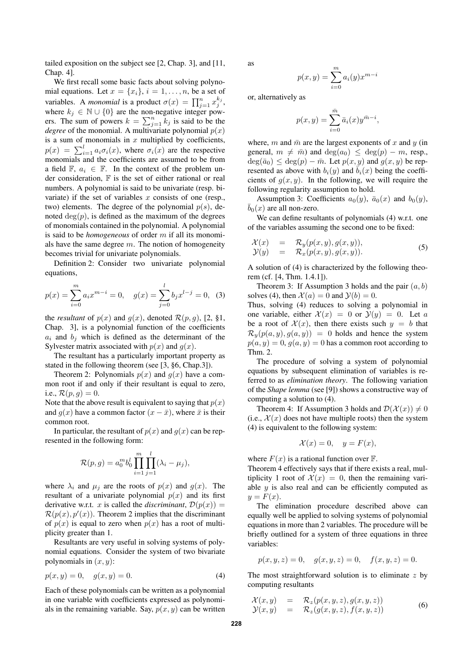tailed exposition on the subject see [2, Chap. 3], and [11, Chap. 4].

We first recall some basic facts about solving polynomial equations. Let  $x = \{x_i\}, i = 1, \ldots, n$ , be a set of variables. A *monomial* is a product  $\sigma(x) = \prod_{j=1}^{n} x_j^{k_j}$ , where  $k_j \in \mathbb{N} \cup \{0\}$  are the non-negative integer powers. The sum of powers  $k = \sum_{j=1}^{n} k_j$  is said to be the *degree* of the monomial. A multivariate polynomial  $p(x)$ is a sum of monomials in  $x$  multiplied by coefficients,  $p(x) = \sum_{i=1}^{l} a_i \sigma_i(x)$ , where  $\sigma_i(x)$  are the respective monomials and the coefficients are assumed to be from a field  $\mathbb{F}$ ,  $a_i \in \mathbb{F}$ . In the context of the problem under consideration, F is the set of either rational or real numbers. A polynomial is said to be univariate (resp. bivariate) if the set of variables  $x$  consists of one (resp., two) elements. The degree of the polynomial  $p(s)$ , denoted  $deg(p)$ , is defined as the maximum of the degrees of monomials contained in the polynomial. A polynomial is said to be *homogeneous* of order m if all its monomials have the same degree  $m$ . The notion of homogeneity becomes trivial for univariate polynomials.

Definition 2: Consider two univariate polynomial equations,

$$
p(x) = \sum_{i=0}^{m} a_i x^{m-i} = 0, \quad g(x) = \sum_{j=0}^{l} b_j x^{l-j} = 0, \tag{3}
$$

the *resultant* of  $p(x)$  and  $q(x)$ , denoted  $\mathcal{R}(p,q)$ , [2, §1, Chap. 3], is a polynomial function of the coefficients  $a_i$  and  $b_j$  which is defined as the determinant of the Sylvester matrix associated with  $p(x)$  and  $q(x)$ .

The resultant has a particularly important property as stated in the following theorem (see [3, §6, Chap.3]).

Theorem 2: Polynomials  $p(x)$  and  $q(x)$  have a common root if and only if their resultant is equal to zero, i.e.,  $\mathcal{R}(p, g) = 0$ .

Note that the above result is equivalent to saying that  $p(x)$ and  $q(x)$  have a common factor  $(x - \bar{x})$ , where  $\bar{x}$  is their common root.

In particular, the resultant of  $p(x)$  and  $q(x)$  can be represented in the following form:

$$
\mathcal{R}(p,g) = a_0^m b_0^l \prod_{i=1}^m \prod_{j=1}^l (\lambda_i - \mu_j),
$$

where  $\lambda_i$  and  $\mu_j$  are the roots of  $p(x)$  and  $q(x)$ . The resultant of a univariate polynomial  $p(x)$  and its first derivative w.r.t. x is called the *discriminant*,  $\mathcal{D}(p(x)) =$  $\mathcal{R}(p(x), p'(x))$ . Theorem 2 implies that the discriminant of  $p(x)$  is equal to zero when  $p(x)$  has a root of multiplicity greater than 1.

Resultants are very useful in solving systems of polynomial equations. Consider the system of two bivariate polynomials in  $(x, y)$ :

$$
p(x, y) = 0, \quad g(x, y) = 0.
$$
 (4)

Each of these polynomials can be written as a polynomial in one variable with coefficients expressed as polynomials in the remaining variable. Say,  $p(x, y)$  can be written as

$$
p(x,y) = \sum_{i=0}^{m} a_i(y) x^{m-i}
$$

or, alternatively as

$$
p(x,y) = \sum_{i=0}^{\bar{m}} \bar{a}_i(x) y^{\bar{m}-i},
$$

where, m and  $\bar{m}$  are the largest exponents of x and y (in general,  $m \neq \overline{m}$ ) and  $\deg(a_0) \leq \deg(p) - m$ , resp.,  $deg(\bar{a}_0) \leq deg(p) - \bar{m}$ . Let  $p(x, y)$  and  $q(x, y)$  be represented as above with  $b_i(y)$  and  $\overline{b}_i(x)$  being the coefficients of  $q(x, y)$ . In the following, we will require the following regularity assumption to hold.

Assumption 3: Coefficients  $a_0(y)$ ,  $\bar{a}_0(x)$  and  $b_0(y)$ ,  $\bar{b}_0(x)$  are all non-zero.

We can define resultants of polynomials (4) w.r.t. one of the variables assuming the second one to be fixed:

$$
\mathcal{X}(x) = \mathcal{R}_y(p(x, y), g(x, y)), \n\mathcal{Y}(y) = \mathcal{R}_x(p(x, y), g(x, y)).
$$
\n(5)

A solution of (4) is characterized by the following theorem (cf. [4, Thm. 1.4.1]).

Theorem 3: If Assumption 3 holds and the pair  $(a, b)$ solves (4), then  $\mathcal{X}(a)=0$  and  $\mathcal{Y}(b)=0$ .

Thus, solving (4) reduces to solving a polynomial in one variable, either  $\mathcal{X}(x)=0$  or  $\mathcal{Y}(y)=0$ . Let a be a root of  $\mathcal{X}(x)$ , then there exists such  $y = b$  that  $\mathcal{R}_{\nu}(p(a, y), g(a, y)) = 0$  holds and hence the system  $p(a, y)=0, g(a, y)=0$  has a common root according to Thm. 2.

The procedure of solving a system of polynomial equations by subsequent elimination of variables is referred to as *elimination theory*. The following variation of the *Shape lemma* (see [9]) shows a constructive way of computing a solution to (4).

Theorem 4: If Assumption 3 holds and  $\mathcal{D}(\mathcal{X}(x)) \neq 0$ (i.e.,  $\mathcal{X}(x)$  does not have multiple roots) then the system (4) is equivalent to the following system:

$$
\mathcal{X}(x) = 0, \quad y = F(x),
$$

where  $F(x)$  is a rational function over  $\mathbb{F}$ .

Theorem 4 effectively says that if there exists a real, multiplicity 1 root of  $\mathcal{X}(x)=0$ , then the remaining variable  $y$  is also real and can be efficiently computed as  $y = F(x)$ .

The elimination procedure described above can equally well be applied to solving systems of polynomial equations in more than 2 variables. The procedure will be briefly outlined for a system of three equations in three variables:

$$
p(x, y, z) = 0
$$
,  $g(x, y, z) = 0$ ,  $f(x, y, z) = 0$ .

The most straightforward solution is to eliminate  $z$  by computing resultants

$$
\mathcal{X}(x,y) = \mathcal{R}_z(p(x,y,z),g(x,y,z)) \n\mathcal{Y}(x,y) = \mathcal{R}_z(g(x,y,z),f(x,y,z))
$$
\n(6)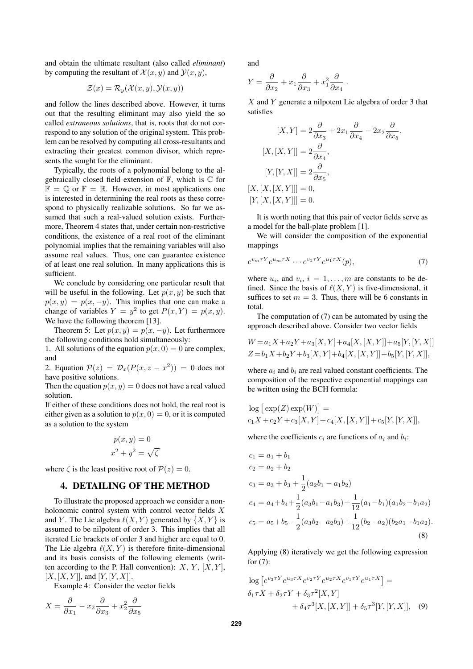and obtain the ultimate resultant (also called *eliminant*) by computing the resultant of  $\mathcal{X}(x, y)$  and  $\mathcal{Y}(x, y)$ ,

$$
\mathcal{Z}(x) = \mathcal{R}_y(\mathcal{X}(x, y), \mathcal{Y}(x, y))
$$

and follow the lines described above. However, it turns out that the resulting eliminant may also yield the so called *extraneous solutions*, that is, roots that do not correspond to any solution of the original system. This problem can be resolved by computing all cross-resultants and extracting their greatest common divisor, which represents the sought for the eliminant.

Typically, the roots of a polynomial belong to the algebraically closed field extension of  $\mathbb{F}$ , which is  $\mathbb{C}$  for  $\mathbb{F} = \mathbb{Q}$  or  $\mathbb{F} = \mathbb{R}$ . However, in most applications one is interested in determining the real roots as these correspond to physically realizable solutions. So far we assumed that such a real-valued solution exists. Furthermore, Theorem 4 states that, under certain non-restrictive conditions, the existence of a real root of the eliminant polynomial implies that the remaining variables will also assume real values. Thus, one can guarantee existence of at least one real solution. In many applications this is sufficient.

We conclude by considering one particular result that will be useful in the following. Let  $p(x, y)$  be such that  $p(x, y) = p(x, -y)$ . This implies that one can make a change of variables  $Y = y^2$  to get  $P(x, Y) = p(x, y)$ . We have the following theorem [13].

Theorem 5: Let  $p(x, y) = p(x, -y)$ . Let furthermore the following conditions hold simultaneously:

1. All solutions of the equation  $p(x, 0) = 0$  are complex, and

2. Equation  $\mathcal{P}(z) = \mathcal{D}_x(P(x, z - x^2)) = 0$  does not have positive solutions.

Then the equation  $p(x, y) = 0$  does not have a real valued solution.

If either of these conditions does not hold, the real root is either given as a solution to  $p(x, 0) = 0$ , or it is computed as a solution to the system

$$
p(x, y) = 0
$$
  

$$
x2 + y2 = \sqrt{\zeta'}
$$

where  $\zeta$  is the least positive root of  $\mathcal{P}(z)=0$ .

#### 4. DETAILING OF THE METHOD

To illustrate the proposed approach we consider a nonholonomic control system with control vector fields X and Y. The Lie algebra  $\ell(X, Y)$  generated by  $\{X, Y\}$  is assumed to be nilpotent of order 3. This implies that all iterated Lie brackets of order 3 and higher are equal to 0. The Lie algebra  $\ell(X, Y)$  is therefore finite-dimensional and its basis consists of the following elements (written according to the P. Hall convention):  $X, Y, [X, Y]$ ,  $[X, [X, Y]]$ , and  $[Y, [Y, X]]$ .

Example 4: Consider the vector fields

$$
X = \frac{\partial}{\partial x_1} - x_2 \frac{\partial}{\partial x_3} + x_2^2 \frac{\partial}{\partial x_5}
$$

and

 $[X,$ 

$$
Y = \frac{\partial}{\partial x_2} + x_1 \frac{\partial}{\partial x_3} + x_1^2 \frac{\partial}{\partial x_4}.
$$

X and Y generate a nilpotent Lie algebra of order 3 that satisfies

$$
[X, Y] = 2\frac{\partial}{\partial x_3} + 2x_1 \frac{\partial}{\partial x_4} - 2x_2 \frac{\partial}{\partial x_5},
$$

$$
[X, [X, Y]] = 2\frac{\partial}{\partial x_4},
$$

$$
[Y, [Y, X]] = 2\frac{\partial}{\partial x_5},
$$

$$
[X, [X, [X, Y]]] = 0,
$$

$$
[Y, [X, [X, Y]]] = 0.
$$

It is worth noting that this pair of vector fields serve as a model for the ball-plate problem [1].

We will consider the composition of the exponential mappings

$$
e^{v_m \tau Y} e^{u_m \tau X} \cdots e^{v_1 \tau Y} e^{u_1 \tau X}(p), \tag{7}
$$

where  $u_i$ , and  $v_i$ ,  $i = 1, \ldots, m$  are constants to be defined. Since the basis of  $\ell(X, Y)$  is five-dimensional, it suffices to set  $m = 3$ . Thus, there will be 6 constants in total.

The computation of (7) can be automated by using the approach described above. Consider two vector fields

$$
W = a_1 X + a_2 Y + a_3 [X, Y] + a_4 [X, [X, Y]] + a_5 [Y, [Y, X]]
$$
  
\n
$$
Z = b_1 X + b_2 Y + b_3 [X, Y] + b_4 [X, [X, Y]] + b_5 [Y, [Y, X]],
$$

where  $a_i$  and  $b_i$  are real valued constant coefficients. The composition of the respective exponential mappings can be written using the BCH formula:

$$
log [ exp(Z) exp(W)] =\nc_1 X + c_2 Y + c_3 [X, Y] + c_4 [X, [X, Y]] + c_5 [Y, [Y, X]],
$$

where the coefficients  $c_i$  are functions of  $a_i$  and  $b_i$ :

$$
c_1 = a_1 + b_1
$$
  
\n
$$
c_2 = a_2 + b_2
$$
  
\n
$$
c_3 = a_3 + b_3 + \frac{1}{2}(a_2b_1 - a_1b_2)
$$
  
\n
$$
c_4 = a_4 + b_4 + \frac{1}{2}(a_3b_1 - a_1b_3) + \frac{1}{12}(a_1 - b_1)(a_1b_2 - b_1a_2)
$$
  
\n
$$
c_5 = a_5 + b_5 - \frac{1}{2}(a_3b_2 - a_2b_3) + \frac{1}{12}(b_2 - a_2)(b_2a_1 - b_1a_2).
$$
  
\n(8)

Applying (8) iteratively we get the following expression for (7):

$$
\log [e^{v_3 \tau Y} e^{u_3 \tau X} e^{v_2 \tau Y} e^{u_2 \tau X} e^{v_1 \tau Y} e^{u_1 \tau X}] =
$$
  
\n
$$
\delta_1 \tau X + \delta_2 \tau Y + \delta_3 \tau^2 [X, Y] + \delta_4 \tau^3 [X, [X, Y]] + \delta_5 \tau^3 [Y, [Y, X]], (9)
$$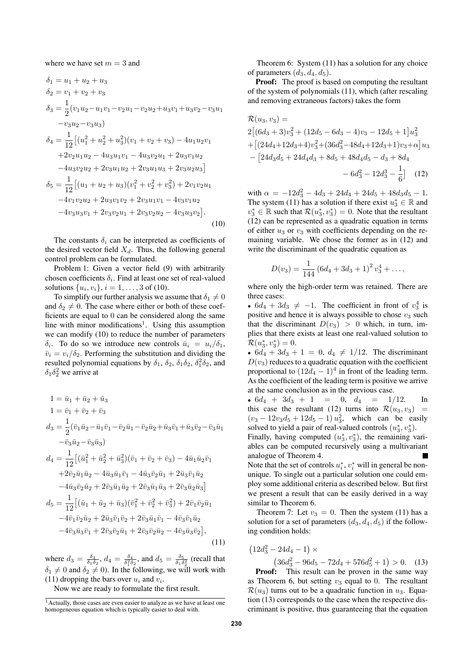where we have set  $m = 3$  and

$$
\delta_1 = u_1 + u_2 + u_3
$$
  
\n
$$
\delta_2 = v_1 + v_2 + v_3
$$
  
\n
$$
\delta_3 = \frac{1}{2}(v_1u_2 - u_1v_1 - v_2u_1 - v_2u_2 + u_3v_1 + u_3v_2 - v_3u_1 - v_3u_2 - v_3u_3)
$$
  
\n
$$
\delta_4 = \frac{1}{12}[(u_1^2 + u_2^2 + u_3^2)(v_1 + v_2 + v_3) - 4u_1u_2v_1 + 2v_2u_1u_2 - 4u_3u_1v_1 - 4u_3v_2u_1 + 2u_3v_1u_2 - 4u_3v_2u_2 + 2v_3u_1u_2 + 2v_3u_1u_3 + 2v_3u_2u_3]
$$
  
\n
$$
\delta_5 = \frac{1}{12}[(u_1 + u_2 + u_3)(v_1^2 + v_2^2 + v_3^2) + 2v_1v_2u_1 - 4v_1v_2u_2 + 2u_3v_1v_2 + 2v_3u_1v_1 - 4v_3v_1u_2 - 4v_3u_3v_1 + 2v_3v_2u_1 + 2v_3v_2u_2 - 4v_3u_3v_2].
$$
\n(10)

The constants  $\delta_i$  can be interpreted as coefficients of the desired vector field  $X_d$ . Thus, the following general control problem can be formulated.

Problem 1: Given a vector field (9) with arbitrarily chosen coefficients  $\delta_i$ . Find at least one set of real-valued solutions  $\{u_i, v_i\}, i = 1, ..., 3$  of (10).

To simplify our further analysis we assume that  $\delta_1 \neq 0$ and  $\delta_2 \neq 0$ . The case where either or both of these coefficients are equal to 0 can be considered along the same line with minor modifications<sup>1</sup>. Using this assumption we can modify (10) to reduce the number of parameters  $\delta_i$ . To do so we introduce new controls  $\bar{u}_i = u_i/\delta_1$ ,  $\bar{v}_i = v_i/\delta_2$ . Performing the substitution and dividing the resulted polynomial equations by  $\delta_1$ ,  $\delta_2$ ,  $\delta_1 \delta_2$ ,  $\delta_1^2 \delta_2$ , and  $\delta_1 \delta_2^2$  we arrive at

$$
1 = \bar{u}_1 + \bar{u}_2 + \bar{u}_3
$$
  
\n
$$
1 = \bar{v}_1 + \bar{v}_2 + \bar{v}_3
$$
  
\n
$$
d_3 = \frac{1}{2}(\bar{v}_1\bar{u}_2 - \bar{u}_1\bar{v}_1 - \bar{v}_2\bar{u}_1 - \bar{v}_2\bar{u}_2 + \bar{u}_3\bar{v}_1 + \bar{u}_3\bar{v}_2 - \bar{v}_3\bar{u}_1
$$
  
\n
$$
-\bar{v}_3\bar{u}_2 - \bar{v}_3\bar{u}_3)
$$
  
\n
$$
d_4 = \frac{1}{12}[(\bar{u}_1^2 + \bar{u}_2^2 + \bar{u}_3^2)(\bar{v}_1 + \bar{v}_2 + \bar{v}_3) - 4\bar{u}_1\bar{u}_2\bar{v}_1
$$
  
\n
$$
+ 2\bar{v}_2\bar{u}_1\bar{u}_2 - 4\bar{u}_3\bar{u}_1\bar{v}_1 - 4\bar{u}_3\bar{v}_2\bar{u}_1 + 2\bar{u}_3\bar{v}_1\bar{u}_2
$$
  
\n
$$
-4\bar{u}_3\bar{v}_2\bar{u}_2 + 2\bar{v}_3\bar{u}_1\bar{u}_2 + 2\bar{v}_3\bar{u}_1\bar{u}_3 + 2\bar{v}_3\bar{u}_2\bar{u}_3]
$$
  
\n
$$
d_5 = \frac{1}{12}[(\bar{u}_1 + \bar{u}_2 + \bar{u}_3)(\bar{v}_1^2 + \bar{v}_2^2 + \bar{v}_3^2) + 2\bar{v}_1\bar{v}_2\bar{u}_1
$$
  
\n
$$
-4\bar{v}_1\bar{v}_2\bar{u}_2 + 2\bar{u}_3\bar{v}_1\bar{v}_2 + 2\bar{v}_3\bar{u}_1\bar{v}_1 - 4\bar{v}_3\bar{v}_1\bar{u}_2
$$
  
\n
$$
-4\bar{v}_3\bar{u}_3\bar{v}_1 + 2\bar{v}_3\bar{v}_2\bar{u}_1 + 2\bar{v}_3\bar{v}_2\bar{u}_2 - 4\bar
$$

where  $d_3 = \frac{\delta_3}{\delta_1 \delta_2}$ ,  $d_4 = \frac{\delta_4}{\delta_1^2 \delta_2}$ , and  $d_5 = \frac{\delta_5}{\delta_1 \delta_2^2}$  (recall that  $\delta_1 \neq 0$  and  $\delta_2 \neq 0$ ). In the following, we will work with (11) dropping the bars over  $u_i$  and  $v_i$ .

Now we are ready to formulate the first result.

Theorem 6: System (11) has a solution for any choice of parameters  $(d_3, d_4, d_5)$ .

Proof: The proof is based on computing the resultant of the system of polynomials (11), which (after rescaling and removing extraneous factors) takes the form

$$
\mathcal{R}(u_3, v_3) =
$$
\n
$$
2[(6d_3 + 3)v_3^2 + (12d_5 - 6d_3 - 4)v_3 - 12d_5 + 1]u_3^2
$$
\n
$$
+ [(24d_4 + 12d_3 + 4)v_3^2 + (36d_3^2 - 48d_4 + 12d_3 + 1)v_3 + \alpha]u_3
$$
\n
$$
- [24d_3d_5 + 24d_4d_3 + 8d_5 + 48d_4d_5 - d_3 + 8d_4
$$
\n
$$
- 6d_3^2 - 12d_3^3 - \frac{1}{6}] \quad (12)
$$

with  $\alpha = -12d_3^2 - 4d_3 + 24d_4 + 24d_5 + 48d_3d_5 - 1$ . The system (11) has a solution if there exist  $u_3^* \in \mathbb{R}$  and  $v_3^* \in \mathbb{R}$  such that  $\mathcal{R}(u_3^*, v_3^*) = 0$ . Note that the resultant (12) can be represented as a quadratic equation in terms of either  $u_3$  or  $v_3$  with coefficients depending on the remaining variable. We chose the former as in (12) and write the discriminant of the quadratic equation as

$$
D(v_3) = \frac{1}{144} (6d_4 + 3d_3 + 1)^2 v_3^4 + \dots,
$$

where only the high-order term was retained. There are three cases:

•  $6d_4 + 3d_3 \neq -1$ . The coefficient in front of  $v_3^4$  is positive and hence it is always possible to chose  $v_3$  such that the discriminant  $D(v_3) > 0$  which, in turn, implies that there exists at least one real-valued solution to  $\mathcal{R}(u_3^*, v_3^*)=0.$ 

•  $6d_4 + 3d_3 + 1 = 0$ ,  $d_4 \neq 1/12$ . The discriminant  $D(v_3)$  reduces to a quadratic equation with the coefficient proportional to  $(12d_4 - 1)^4$  in front of the leading term. As the coefficient of the leading term is positive we arrive at the same conclusion as in the previous case.

•  $6d_4 + 3d_3 + 1 = 0$ ,  $d_4 = 1/12$ . In this case the resultant (12) turns into  $\mathcal{R}(u_3, v_3)$  =  $(v_3 - 12v_3d_5 + 12d_5 - 1) u_3^2$ , which can be easily solved to yield a pair of real-valued controls  $(u_3^*, v_3^*)$ .

Finally, having computed  $(u_3^*, v_3^*)$ , the remaining variables can be computed recursively using a multivariant analogue of Theorem 4. Note that the set of controls  $u_i^*$ ,  $v_i^*$  will in general be non-

unique. To single out a particular solution one could employ some additional criteria as described below. But first we present a result that can be easily derived in a way similar to Theorem 6.

Theorem 7: Let  $v_3 = 0$ . Then the system (11) has a solution for a set of parameters  $(d_3, d_4, d_5)$  if the following condition holds:

$$
(12d_3^2 - 24d_4 - 1) \times
$$
  
\n
$$
(36d_3^2 - 96d_5 - 72d_4 + 576d_5^2 + 1) > 0.
$$
 (13)

Proof: This result can be proven in the same way as Theorem 6, but setting  $v_3$  equal to 0. The resultant  $\mathcal{R}(u_3)$  turns out to be a quadratic function in  $u_3$ . Equation (13) corresponds to the case when the respective discriminant is positive, thus guaranteeing that the equation

 $1$ Actually, those cases are even easier to analyze as we have at least one homogeneous equation which is typically easier to deal with.